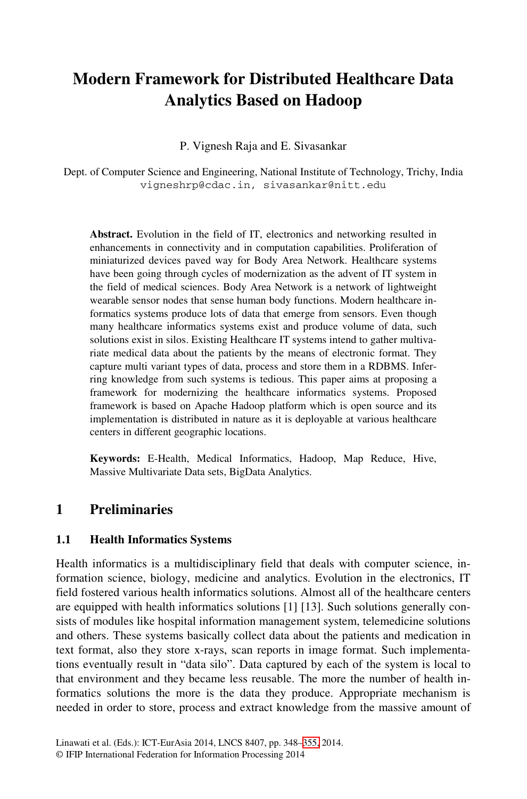# **Modern Framework for Distributed Healthcare Data Analytics Based on Hadoop**

P. Vignesh Raja and E. Sivasankar

Dept. of Computer Science and Engineering, National Institute of Technology, Trichy, India vigneshrp@cdac.in, sivasankar@nitt.edu

**Abstract.** Evolution in the field of IT, electronics and networking resulted in enhancements in connectivity and in computation capabilities. Proliferation of miniaturized devices paved way for Body Area Network. Healthcare systems have been going through cycles of modernization as the advent of IT system in the field of medical sciences. Body Area Network is a network of lightweight wearable sensor nodes that sense human body functions. Modern healthcare informatics systems produce lots of data that emerge from sensors. Even though many healthcare informatics systems exist and produce volume of data, such solutions exist in silos. Existing Healthcare IT systems intend to gather multivariate medical data about the patients by the means of electronic format. They capture multi variant types of data, process and store them in a RDBMS. Inferring knowledge from such systems is tedious. This paper aims at proposing a framework for modernizing the healthcare informatics systems. Proposed framework is based on Apache Hadoop platform which is open source and its implementation is distributed in nature as it is deployable at various healthcare centers in different geographic locations.

**Keywords:** E-Health, Medical Informatics, Hadoop, Map Reduce, Hive, Massive Multivariate Data sets, BigData Analytics.

## **1 Preliminaries**

#### **1.1 Health Informatics Systems**

Health informatics is a multidisciplinary field that deals with computer science, information science, biology, medicine and analytics. Evolution in the electronics, IT field fostered various health informatics solutions. Almost all of the healthcare centers are equipped with health informatics solutions [1] [13]. Such solutions generally consists of modules like hospital information management system, telemedicine solutions and others. These systems basi[cally](#page-7-0) collect data about the patients and medication in text format, also they store x-rays, scan reports in image format. Such implementations eventually result in "data silo". Data captured by each of the system is local to that environment and they became less reusable. The more the number of health informatics solutions the more is the data they produce. Appropriate mechanism is needed in order to store, process and extract knowledge from the massive amount of

Linawati et al. (Eds.): ICT-EurAsia 2014, LNCS 8407, pp. 348–355, 2014. © IFIP International Federation for Information Processing 2014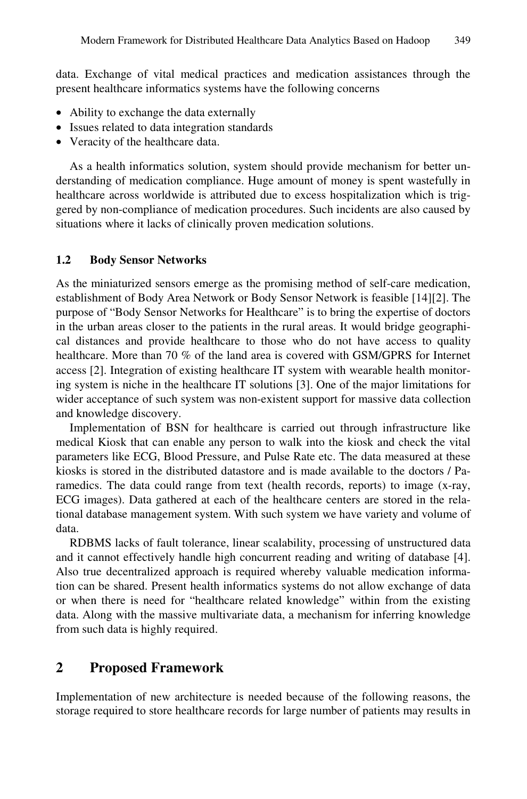data. Exchange of vital medical practices and medication assistances through the present healthcare informatics systems have the following concerns

- Ability to exchange the data externally
- Issues related to data integration standards
- Veracity of the healthcare data.

As a health informatics solution, system should provide mechanism for better understanding of medication compliance. Huge amount of money is spent wastefully in healthcare across worldwide is attributed due to excess hospitalization which is triggered by non-compliance of medication procedures. Such incidents are also caused by situations where it lacks of clinically proven medication solutions.

#### **1.2 Body Sensor Networks**

As the miniaturized sensors emerge as the promising method of self-care medication, establishment of Body Area Network or Body Sensor Network is feasible [14][2]. The purpose of "Body Sensor Networks for Healthcare" is to bring the expertise of doctors in the urban areas closer to the patients in the rural areas. It would bridge geographical distances and provide healthcare to those who do not have access to quality healthcare. More than 70 % of the land area is covered with GSM/GPRS for Internet access [2]. Integration of existing healthcare IT system with wearable health monitoring system is niche in the healthcare IT solutions [3]. One of the major limitations for wider acceptance of such system was non-existent support for massive data collection and knowledge discovery.

Implementation of BSN for healthcare is carried out through infrastructure like medical Kiosk that can enable any person to walk into the kiosk and check the vital parameters like ECG, Blood Pressure, and Pulse Rate etc. The data measured at these kiosks is stored in the distributed datastore and is made available to the doctors / Paramedics. The data could range from text (health records, reports) to image (x-ray, ECG images). Data gathered at each of the healthcare centers are stored in the relational database management system. With such system we have variety and volume of data.

RDBMS lacks of fault tolerance, linear scalability, processing of unstructured data and it cannot effectively handle high concurrent reading and writing of database [4]. Also true decentralized approach is required whereby valuable medication information can be shared. Present health informatics systems do not allow exchange of data or when there is need for "healthcare related knowledge" within from the existing data. Along with the massive multivariate data, a mechanism for inferring knowledge from such data is highly required.

#### **2 Proposed Framework**

Implementation of new architecture is needed because of the following reasons, the storage required to store healthcare records for large number of patients may results in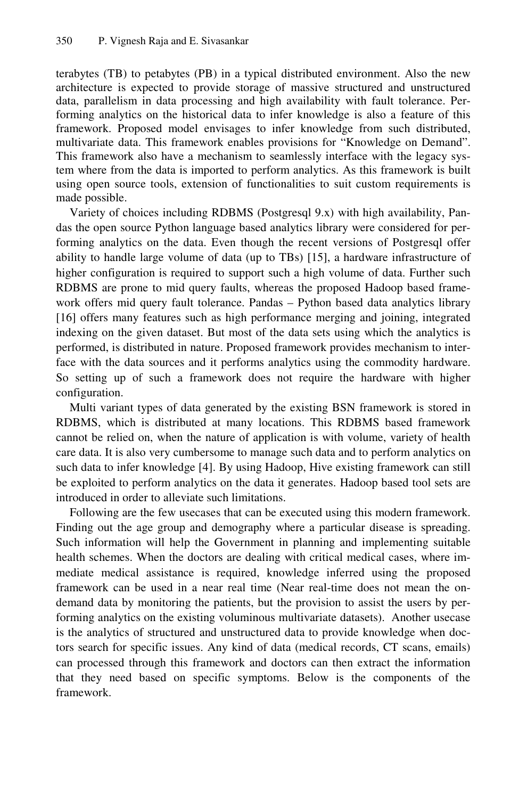terabytes (TB) to petabytes (PB) in a typical distributed environment. Also the new architecture is expected to provide storage of massive structured and unstructured data, parallelism in data processing and high availability with fault tolerance. Performing analytics on the historical data to infer knowledge is also a feature of this framework. Proposed model envisages to infer knowledge from such distributed, multivariate data. This framework enables provisions for "Knowledge on Demand". This framework also have a mechanism to seamlessly interface with the legacy system where from the data is imported to perform analytics. As this framework is built using open source tools, extension of functionalities to suit custom requirements is made possible.

Variety of choices including RDBMS (Postgresql 9.x) with high availability, Pandas the open source Python language based analytics library were considered for performing analytics on the data. Even though the recent versions of Postgresql offer ability to handle large volume of data (up to TBs) [15], a hardware infrastructure of higher configuration is required to support such a high volume of data. Further such RDBMS are prone to mid query faults, whereas the proposed Hadoop based framework offers mid query fault tolerance. Pandas – Python based data analytics library [16] offers many features such as high performance merging and joining, integrated indexing on the given dataset. But most of the data sets using which the analytics is performed, is distributed in nature. Proposed framework provides mechanism to interface with the data sources and it performs analytics using the commodity hardware. So setting up of such a framework does not require the hardware with higher configuration.

Multi variant types of data generated by the existing BSN framework is stored in RDBMS, which is distributed at many locations. This RDBMS based framework cannot be relied on, when the nature of application is with volume, variety of health care data. It is also very cumbersome to manage such data and to perform analytics on such data to infer knowledge [4]. By using Hadoop, Hive existing framework can still be exploited to perform analytics on the data it generates. Hadoop based tool sets are introduced in order to alleviate such limitations.

Following are the few usecases that can be executed using this modern framework. Finding out the age group and demography where a particular disease is spreading. Such information will help the Government in planning and implementing suitable health schemes. When the doctors are dealing with critical medical cases, where immediate medical assistance is required, knowledge inferred using the proposed framework can be used in a near real time (Near real-time does not mean the ondemand data by monitoring the patients, but the provision to assist the users by performing analytics on the existing voluminous multivariate datasets). Another usecase is the analytics of structured and unstructured data to provide knowledge when doctors search for specific issues. Any kind of data (medical records, CT scans, emails) can processed through this framework and doctors can then extract the information that they need based on specific symptoms. Below is the components of the framework.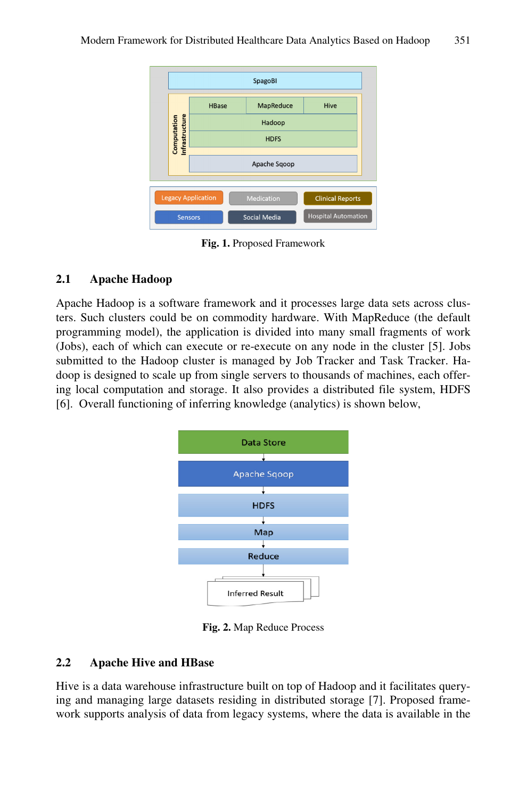|                                                                    | SpagoBI                       |              |              |                            |  |  |
|--------------------------------------------------------------------|-------------------------------|--------------|--------------|----------------------------|--|--|
|                                                                    |                               | <b>HBase</b> | MapReduce    | Hive                       |  |  |
|                                                                    |                               |              | Hadoop       |                            |  |  |
|                                                                    | Computation<br>Infrastructure | <b>HDFS</b>  |              |                            |  |  |
|                                                                    |                               |              | Apache Sqoop |                            |  |  |
| <b>Legacy Application</b><br>Medication<br><b>Clinical Reports</b> |                               |              |              |                            |  |  |
|                                                                    | <b>Sensors</b>                |              | Social Media | <b>Hospital Automation</b> |  |  |

**Fig. 1.** Proposed Framework

#### **2.1 Apache Hadoop**

Apache Hadoop is a software framework and it processes large data sets across clusters. Such clusters could be on commodity hardware. With MapReduce (the default programming model), the application is divided into many small fragments of work (Jobs), each of which can execute or re-execute on any node in the cluster [5]. Jobs submitted to the Hadoop cluster is managed by Job Tracker and Task Tracker. Hadoop is designed to scale up from single servers to thousands of machines, each offering local computation and storage. It also provides a distributed file system, HDFS [6]. Overall functioning of inferring knowledge (analytics) is shown below,



**Fig. 2.** Map Reduce Process

## **2.2 Apache Hive and HBase**

Hive is a data warehouse infrastructure built on top of Hadoop and it facilitates querying and managing large datasets residing in distributed storage [7]. Proposed framework supports analysis of data from legacy systems, where the data is available in the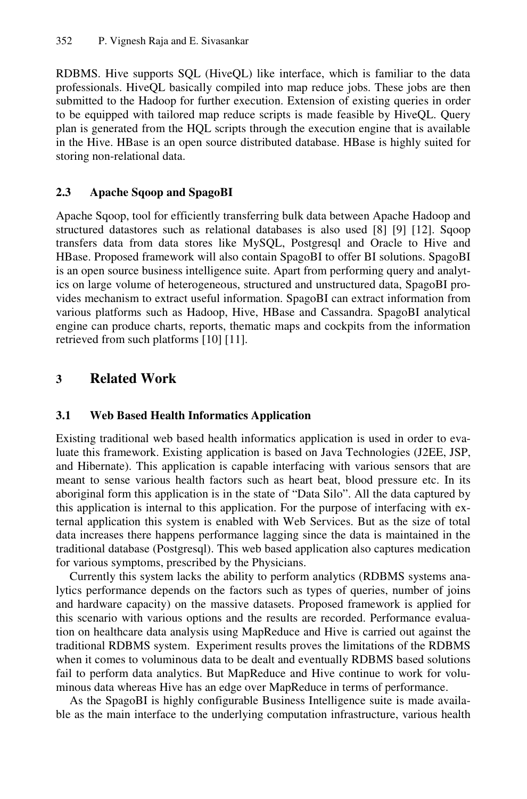RDBMS. Hive supports SQL (HiveQL) like interface, which is familiar to the data professionals. HiveQL basically compiled into map reduce jobs. These jobs are then submitted to the Hadoop for further execution. Extension of existing queries in order to be equipped with tailored map reduce scripts is made feasible by HiveQL. Query plan is generated from the HQL scripts through the execution engine that is available in the Hive. HBase is an open source distributed database. HBase is highly suited for storing non-relational data.

## **2.3 Apache Sqoop and SpagoBI**

Apache Sqoop, tool for efficiently transferring bulk data between Apache Hadoop and structured datastores such as relational databases is also used [8] [9] [12]. Sqoop transfers data from data stores like MySQL, Postgresql and Oracle to Hive and HBase. Proposed framework will also contain SpagoBI to offer BI solutions. SpagoBI is an open source business intelligence suite. Apart from performing query and analytics on large volume of heterogeneous, structured and unstructured data, SpagoBI provides mechanism to extract useful information. SpagoBI can extract information from various platforms such as Hadoop, Hive, HBase and Cassandra. SpagoBI analytical engine can produce charts, reports, thematic maps and cockpits from the information retrieved from such platforms [10] [11].

# **3 Related Work**

## **3.1 Web Based Health Informatics Application**

Existing traditional web based health informatics application is used in order to evaluate this framework. Existing application is based on Java Technologies (J2EE, JSP, and Hibernate). This application is capable interfacing with various sensors that are meant to sense various health factors such as heart beat, blood pressure etc. In its aboriginal form this application is in the state of "Data Silo". All the data captured by this application is internal to this application. For the purpose of interfacing with external application this system is enabled with Web Services. But as the size of total data increases there happens performance lagging since the data is maintained in the traditional database (Postgresql). This web based application also captures medication for various symptoms, prescribed by the Physicians.

Currently this system lacks the ability to perform analytics (RDBMS systems analytics performance depends on the factors such as types of queries, number of joins and hardware capacity) on the massive datasets. Proposed framework is applied for this scenario with various options and the results are recorded. Performance evaluation on healthcare data analysis using MapReduce and Hive is carried out against the traditional RDBMS system. Experiment results proves the limitations of the RDBMS when it comes to voluminous data to be dealt and eventually RDBMS based solutions fail to perform data analytics. But MapReduce and Hive continue to work for voluminous data whereas Hive has an edge over MapReduce in terms of performance.

As the SpagoBI is highly configurable Business Intelligence suite is made available as the main interface to the underlying computation infrastructure, various health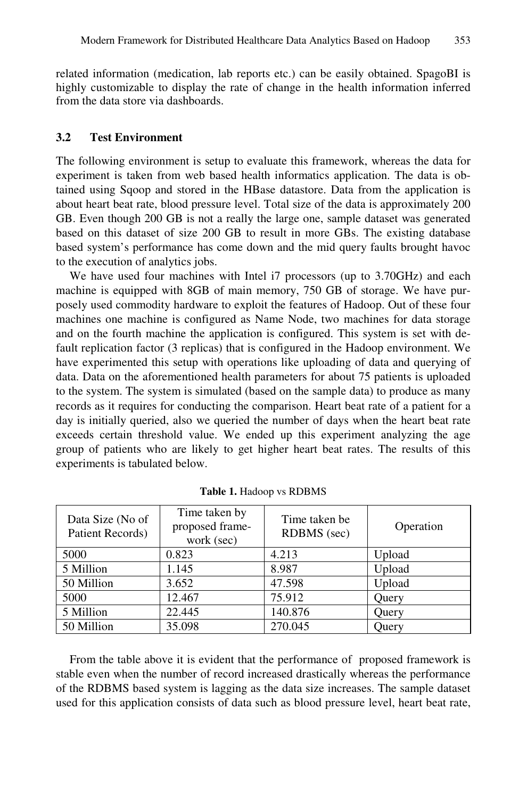related information (medication, lab reports etc.) can be easily obtained. SpagoBI is highly customizable to display the rate of change in the health information inferred from the data store via dashboards.

#### **3.2 Test Environment**

The following environment is setup to evaluate this framework, whereas the data for experiment is taken from web based health informatics application. The data is obtained using Sqoop and stored in the HBase datastore. Data from the application is about heart beat rate, blood pressure level. Total size of the data is approximately 200 GB. Even though 200 GB is not a really the large one, sample dataset was generated based on this dataset of size 200 GB to result in more GBs. The existing database based system's performance has come down and the mid query faults brought havoc to the execution of analytics jobs.

We have used four machines with Intel i7 processors (up to 3.70GHz) and each machine is equipped with 8GB of main memory, 750 GB of storage. We have purposely used commodity hardware to exploit the features of Hadoop. Out of these four machines one machine is configured as Name Node, two machines for data storage and on the fourth machine the application is configured. This system is set with default replication factor (3 replicas) that is configured in the Hadoop environment. We have experimented this setup with operations like uploading of data and querying of data. Data on the aforementioned health parameters for about 75 patients is uploaded to the system. The system is simulated (based on the sample data) to produce as many records as it requires for conducting the comparison. Heart beat rate of a patient for a day is initially queried, also we queried the number of days when the heart beat rate exceeds certain threshold value. We ended up this experiment analyzing the age group of patients who are likely to get higher heart beat rates. The results of this experiments is tabulated below.

| Data Size (No of<br>Patient Records) | Time taken by<br>proposed frame-<br>work (sec) | Time taken be<br>RDBMS (sec) | Operation |
|--------------------------------------|------------------------------------------------|------------------------------|-----------|
| 5000                                 | 0.823                                          | 4.213                        | Upload    |
| 5 Million                            | 1.145                                          | 8.987                        | Upload    |
| 50 Million                           | 3.652                                          | 47.598                       | Upload    |
| 5000                                 | 12.467                                         | 75.912                       | Query     |
| 5 Million                            | 22.445                                         | 140.876                      | Query     |
| 50 Million                           | 35.098                                         | 270.045                      | Query     |

**Table 1.** Hadoop vs RDBMS

From the table above it is evident that the performance of proposed framework is stable even when the number of record increased drastically whereas the performance of the RDBMS based system is lagging as the data size increases. The sample dataset used for this application consists of data such as blood pressure level, heart beat rate,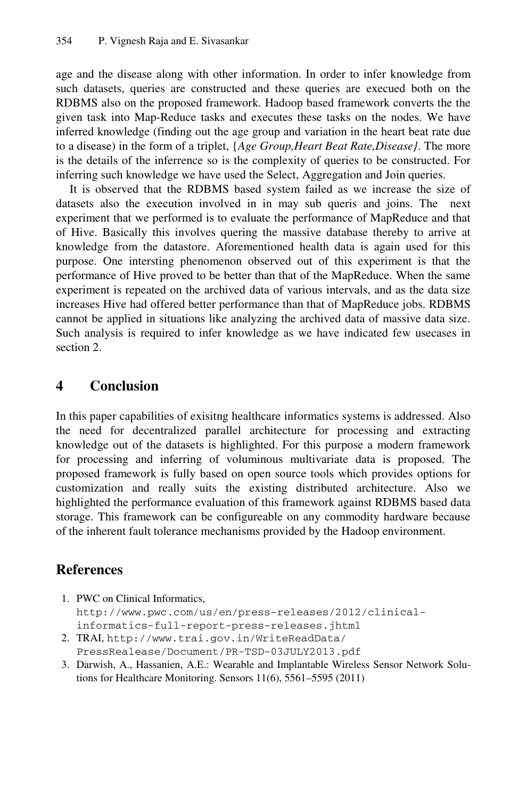age and the disease along with other information. In order to infer knowledge from such datasets, queries are constructed and these queries are execued both on the RDBMS also on the proposed framework. Hadoop based framework converts the the given task into Map-Reduce tasks and executes these tasks on the nodes. We have inferred knowledge (finding out the age group and variation in the heart beat rate due to a disease) in the form of a triplet, {*Age Group,Heart Beat Rate,Disease}*. The more is the details of the inferrence so is the complexity of queries to be constructed. For inferring such knowledge we have used the Select, Aggregation and Join queries.

It is observed that the RDBMS based system failed as we increase the size of datasets also the execution involved in in may sub queris and joins. The next experiment that we performed is to evaluate the performance of MapReduce and that of Hive. Basically this involves quering the massive database thereby to arrive at knowledge from the datastore. Aforementioned health data is again used for this purpose. One intersting phenomenon observed out of this experiment is that the performance of Hive proved to be better than that of the MapReduce. When the same experiment is repeated on the archived data of various intervals, and as the data size increases Hive had offered better performance than that of MapReduce jobs. RDBMS cannot be applied in situations like analyzing the archived data of massive data size. Such analysis is required to infer knowledge as we have indicated few usecases in section 2.

# **4 Conclusion**

In this paper capabilities of exisitng healthcare informatics systems is addressed. Also the need for decentralized parallel architecture for processing and extracting knowledge out of the datasets is highlighted. For this purpose a modern framework for processing and inferring of voluminous multivariate data is proposed. The proposed framework is fully based on open source tools which provides options for customization and really suits the existing distributed architecture. Also we highlighted the performance evaluation of this framework against RDBMS based data storage. This framework can be configureable on any commodity hardware because of the inherent fault tolerance mechanisms provided by the Hadoop environment.

# **References**

- 1. PWC on Clinical Informatics, http://www.pwc.com/us/en/press-releases/2012/clinicalinformatics-full-report-press-releases.jhtml
- 2. TRAI, http://www.trai.gov.in/WriteReadData/ PressRealease/Document/PR-TSD-03JULY2013.pdf
- 3. Darwish, A., Hassanien, A.E.: Wearable and Implantable Wireless Sensor Network Solutions for Healthcare Monitoring. Sensors 11(6), 5561–5595 (2011)